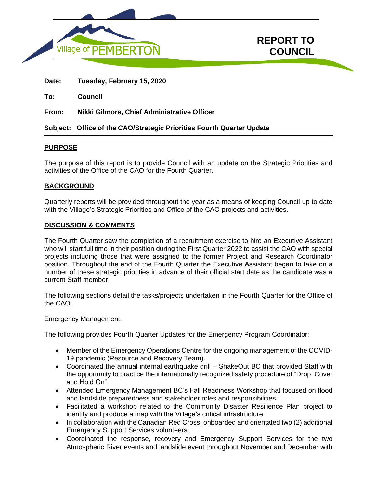



**Date: Tuesday, February 15, 2020**

**To: Council**

**From: Nikki Gilmore, Chief Administrative Officer**

## **Subject: Office of the CAO/Strategic Priorities Fourth Quarter Update**

## **PURPOSE**

The purpose of this report is to provide Council with an update on the Strategic Priorities and activities of the Office of the CAO for the Fourth Quarter.

## **BACKGROUND**

Quarterly reports will be provided throughout the year as a means of keeping Council up to date with the Village's Strategic Priorities and Office of the CAO projects and activities.

### **DISCUSSION & COMMENTS**

The Fourth Quarter saw the completion of a recruitment exercise to hire an Executive Assistant who will start full time in their position during the First Quarter 2022 to assist the CAO with special projects including those that were assigned to the former Project and Research Coordinator position. Throughout the end of the Fourth Quarter the Executive Assistant began to take on a number of these strategic priorities in advance of their official start date as the candidate was a current Staff member.

The following sections detail the tasks/projects undertaken in the Fourth Quarter for the Office of the CAO:

### Emergency Management:

The following provides Fourth Quarter Updates for the Emergency Program Coordinator:

- Member of the Emergency Operations Centre for the ongoing management of the COVID-19 pandemic (Resource and Recovery Team).
- Coordinated the annual internal earthquake drill ShakeOut BC that provided Staff with the opportunity to practice the internationally recognized safety procedure of "Drop, Cover and Hold On".
- Attended Emergency Management BC's Fall Readiness Workshop that focused on flood and landslide preparedness and stakeholder roles and responsibilities.
- Facilitated a workshop related to the Community Disaster Resilience Plan project to identify and produce a map with the Village's critical infrastructure.
- In collaboration with the Canadian Red Cross, onboarded and orientated two (2) additional Emergency Support Services volunteers.
- Coordinated the response, recovery and Emergency Support Services for the two Atmospheric River events and landslide event throughout November and December with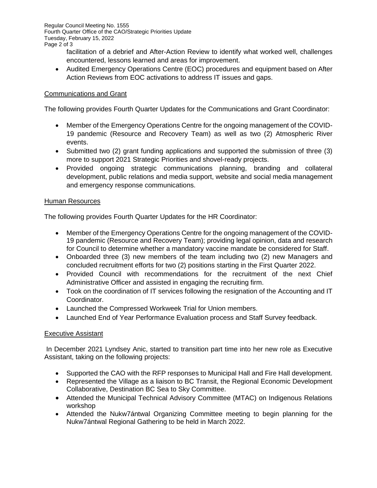Regular Council Meeting No. 1555 Fourth Quarter Office of the CAO/Strategic Priorities Update Tuesday, February 15, 2022 Page 2 of 3

> facilitation of a debrief and After-Action Review to identify what worked well, challenges encountered, lessons learned and areas for improvement.

• Audited Emergency Operations Centre (EOC) procedures and equipment based on After Action Reviews from EOC activations to address IT issues and gaps.

# Communications and Grant

The following provides Fourth Quarter Updates for the Communications and Grant Coordinator:

- Member of the Emergency Operations Centre for the ongoing management of the COVID-19 pandemic (Resource and Recovery Team) as well as two (2) Atmospheric River events.
- Submitted two (2) grant funding applications and supported the submission of three (3) more to support 2021 Strategic Priorities and shovel-ready projects.
- Provided ongoing strategic communications planning, branding and collateral development, public relations and media support, website and social media management and emergency response communications.

# Human Resources

The following provides Fourth Quarter Updates for the HR Coordinator:

- Member of the Emergency Operations Centre for the ongoing management of the COVID-19 pandemic (Resource and Recovery Team); providing legal opinion, data and research for Council to determine whether a mandatory vaccine mandate be considered for Staff.
- Onboarded three (3) new members of the team including two (2) new Managers and concluded recruitment efforts for two (2) positions starting in the First Quarter 2022.
- Provided Council with recommendations for the recruitment of the next Chief Administrative Officer and assisted in engaging the recruiting firm.
- Took on the coordination of IT services following the resignation of the Accounting and IT Coordinator.
- Launched the Compressed Workweek Trial for Union members.
- Launched End of Year Performance Evaluation process and Staff Survey feedback.

# Executive Assistant

In December 2021 Lyndsey Anic, started to transition part time into her new role as Executive Assistant, taking on the following projects:

- Supported the CAO with the RFP responses to Municipal Hall and Fire Hall development.
- Represented the Village as a liaison to BC Transit, the Regional Economic Development Collaborative, Destination BC Sea to Sky Committee.
- Attended the Municipal Technical Advisory Committee (MTAC) on Indigenous Relations workshop
- Attended the Nukw7ántwal Organizing Committee meeting to begin planning for the Nukw7ántwal Regional Gathering to be held in March 2022.